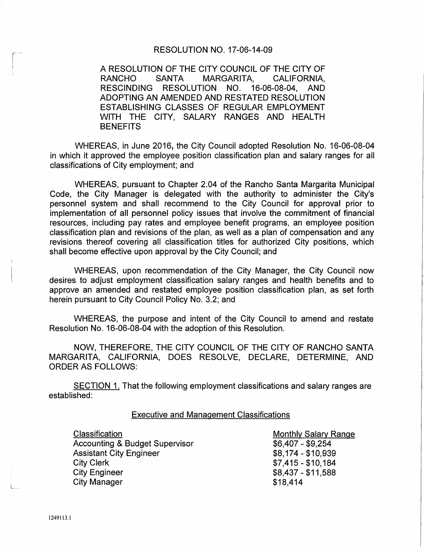### RESOLUTION NO. 17-06-14-09

A RESOLUTION OF THE CITY COUNCIL OF THE CITY OF RANCHO SANTA MARGARITA, CALIFORNIA, RESCINDING RESOLUTION NO. 16-06-08-04, AND ADOPTING AN AMENDED AND RESTATED RESOLUTION ESTABLISHING CLASSES OF REGULAR EMPLOYMENT WITH THE CITY, SALARY RANGES AND HEALTH **BENEFITS** 

WHEREAS, in June 2016, the City Council adopted Resolution No. 16-06-08-04 in which it approved the employee position classification plan and salary ranges for all classifications of City employment; and

WHEREAS, pursuant to Chapter 2.04 of the Rancho Santa Margarita Municipal Code, the City Manager is delegated with the authority to administer the City's personnel system and shall recommend to the City Council for approval prior to implementation of all personnel policy issues that involve the commitment of financial resources, including pay rates and employee benefit programs, an employee position classification plan and revisions of the plan, as well as a plan of compensation and any revisions thereof covering all classification titles for authorized City positions, which shall become effective upon approval by the City Council; and

WHEREAS, upon recommendation of the City Manager, the City Council now desires to adjust employment classification salary ranges and health benefits and to approve an amended and restated employee position classification plan, as set forth herein pursuant to City Council Policy No. 3.2; and

WHEREAS, the purpose and intent of the City Council to amend and restate Resolution No. 16-06-08-04 with the adoption of this Resolution.

NOW, THEREFORE, THE CITY COUNCIL OF THE CITY OF RANCHO SANTA MARGARITA, CALIFORNIA, DOES RESOLVE, DECLARE, DETERMINE, AND ORDER AS FOLLOWS:

SECTION 1. That the following employment classifications and salary ranges are established:

#### Executive and Management Classifications

**Classification** Accounting & Budget Supervisor Assistant City Engineer City Clerk City Engineer City Manager

Monthly Salary Range \$6,407 - \$9,254 \$8,174- \$10,939  $$7,415 - $10,184$ \$8,437- \$11,588 \$18,414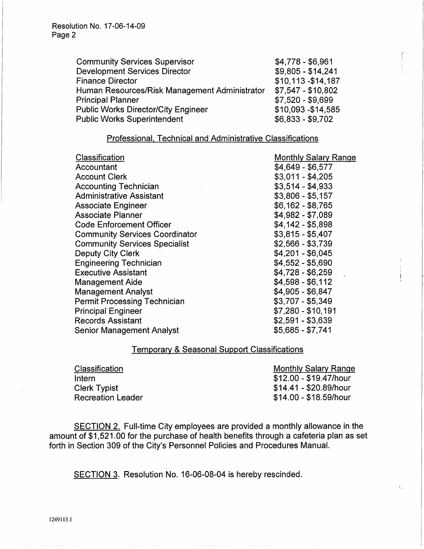| <b>Community Services Supervisor</b>          | $$4,778 - $6,961$   |
|-----------------------------------------------|---------------------|
| <b>Development Services Director</b>          | $$9,805 - $14,241$  |
| <b>Finance Director</b>                       | \$10,113-\$14,187   |
| Human Resources/Risk Management Administrator | $$7,547 - $10,802$  |
| <b>Principal Planner</b>                      | $$7,520 - $9,699$   |
| <b>Public Works Director/City Engineer</b>    | \$10,093 - \$14,585 |
| <b>Public Works Superintendent</b>            | $$6,833 - $9,702$   |

## Professional. Technical and Administrative Classifications

| Classification                        | <b>Monthly Salary Range</b> |
|---------------------------------------|-----------------------------|
| Accountant                            | $$4,649 - $6,577$           |
| <b>Account Clerk</b>                  | $$3,011 - $4,205$           |
| <b>Accounting Technician</b>          | $$3,514 - $4,933$           |
| <b>Administrative Assistant</b>       | $$3,806 - $5,157$           |
| <b>Associate Engineer</b>             | $$6,162 - $8,765$           |
| <b>Associate Planner</b>              | $$4,982 - $7,089$           |
| <b>Code Enforcement Officer</b>       | $$4.142 - $5.898$           |
| <b>Community Services Coordinator</b> | $$3,815 - $5,407$           |
| <b>Community Services Specialist</b>  | $$2,566 - $3,739$           |
| <b>Deputy City Clerk</b>              | $$4,201 - $6,045$           |
| <b>Engineering Technician</b>         | $$4,552 - $5,690$           |
| <b>Executive Assistant</b>            | $$4,728 - $6,259$           |
| <b>Management Aide</b>                | $$4,598 - $6,112$           |
| <b>Management Analyst</b>             | $$4,905 - $6,847$           |
| <b>Permit Processing Technician</b>   | $$3,707 - $5,349$           |
| <b>Principal Engineer</b>             | \$7,280 - \$10,191          |
| <b>Records Assistant</b>              | $$2,591 - $3,639$           |
| <b>Senior Management Analyst</b>      | $$5,685 - $7,741$           |

# Temporary & Seasonal Support Classifications

| Classification           | <b>Monthly Salary Range</b> |
|--------------------------|-----------------------------|
| Intern                   | \$12.00 - \$19.47/hour      |
| <b>Clerk Typist</b>      | \$14.41 - \$20.89/hour      |
| <b>Recreation Leader</b> | \$14.00 - \$18.59/hour      |

SECTION 2. Full-time City employees are provided a monthly allowance in the amount of \$1,521.00 for the purchase of health benefits through a cafeteria plan as set forth in Section 309 of the City's Personnel Policies and Procedures Manual.

SECTION 3. Resolution No. 16-06-08-04 is hereby rescinded.